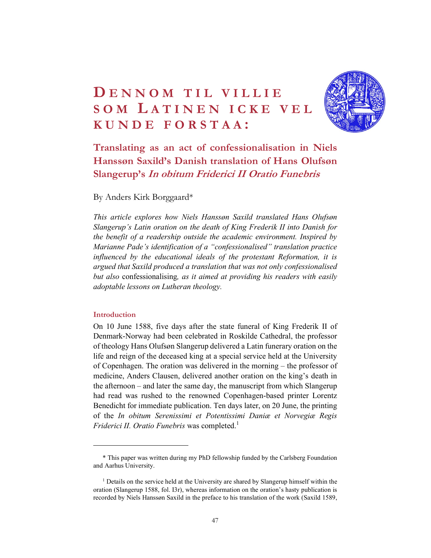# DENNOM TIL VILLIE<br>SOM LATINEN ICKE VEL<br>KUNDE FORSTAA:<br>Translating as an act of confessionalisation in Niels DENNOM TIL VILLIE<br>SOM LATINEN ICKE VEL<br>KUNDE FORSTAA:<br>Translating as an act of confessionalisation in Niels<br>Hanssøn Saxild's Danish translation of Hans Olufsøn **DENNOM TIL VILLIE<br>SOM LATINEN ICKE VEL<br>KUNDE FORSTAA:<br>Translating as an act of confessionalisation in Niels<br>Hansson Saxild's Danish translation of Hans Olufson<br>Slangerup's In obitum Friderici II Oratio Funebris**



Translating as an act of confessionalisation in Niels Hanssøn Saxild's Danish translation of Hans Olufsøn Slangerup's In obitum Friderici II Oratio Funebris

By Anders Kirk Borggaard\*

This article explores how Niels Hanssøn Saxild translated Hans Olufsøn Slangerup's Latin oration on the death of King Frederik II into Danish for the benefit of a readership outside the academic environment. Inspired by Marianne Pade's identification of a "confessionalised" translation practice influenced by the educational ideals of the protestant Reformation, it is argued that Saxild produced a translation that was not only confessionalised but also confessionalising, as it aimed at providing his readers with easily adoptable lessons on Lutheran theology.

### Introduction

On 10 June 1588, five days after the state funeral of King Frederik II of Denmark-Norway had been celebrated in Roskilde Cathedral, the professor of theology Hans Olufsøn Slangerup delivered a Latin funerary oration on the life and reign of the deceased king at a special service held at the University of Copenhagen. The oration was delivered in the morning – the professor of medicine, Anders Clausen, delivered another oration on the king's death in the afternoon – and later the same day, the manuscript from which Slangerup had read was rushed to the renowned Copenhagen-based printer Lorentz Benedicht for immediate publication. Ten days later, on 20 June, the printing of the In obitum Serenissimi et Potentissimi Daniæ et Norvegiæ Regis *Friderici II. Oratio Funebris* was completed.<sup>1</sup>

<sup>\*</sup> This paper was written during my PhD fellowship funded by the Carlsberg Foundation and Aarhus University.<br><sup>1</sup> Details on the service held at the University are shared by Slangerup himself within the

oration (Slangerup 1588, fol. I3r), whereas information on the oration's hasty publication is recorded by Niels Hanssøn Saxild in the preface to his translation of the work (Saxild 1589,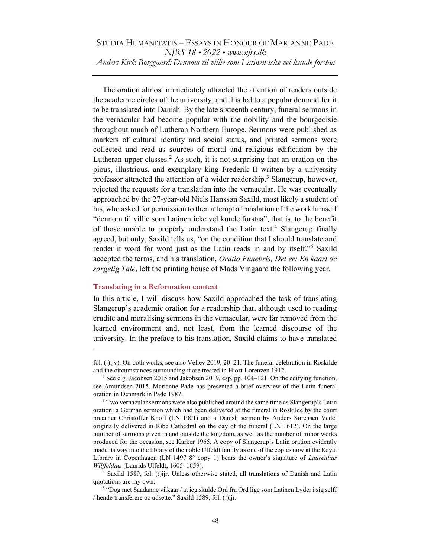The oration almost immediately attracted the attention of readers outside the academic circles of the university, and this led to a popular demand for it to be translated into Danish. By the late sixteenth century, funeral sermons in the vernacular had become popular with the nobility and the bourgeoisie throughout much of Lutheran Northern Europe. Sermons were published as markers of cultural identity and social status, and printed sermons were collected and read as sources of moral and religious edification by the Lutheran upper classes.<sup>2</sup> As such, it is not surprising that an oration on the pious, illustrious, and exemplary king Frederik II written by a university professor attracted the attention of a wider readership.<sup>3</sup> Slangerup, however, rejected the requests for a translation into the vernacular. He was eventually approached by the 27-year-old Niels Hanssøn Saxild, most likely a student of his, who asked for permission to then attempt a translation of the work himself "dennom til villie som Latinen icke vel kunde forstaa", that is, to the benefit of those unable to properly understand the Latin text.<sup>4</sup> Slangerup finally agreed, but only, Saxild tells us, "on the condition that I should translate and render it word for word just as the Latin reads in and by itself."<sup>5</sup> Saxild accepted the terms, and his translation, Oratio Funebris, Det er: En kaart oc sørgelig Tale, left the printing house of Mads Vingaard the following year.

### Translating in a Reformation context

In this article, I will discuss how Saxild approached the task of translating Slangerup's academic oration for a readership that, although used to reading erudite and moralising sermons in the vernacular, were far removed from the learned environment and, not least, from the learned discourse of the university. In the preface to his translation, Saxild claims to have translated

fol. (:)ijv). On both works, see also Vellev 2019, 20–21. The funeral celebration in Roskilde and the circumstances surrounding it are treated in Hiort-Lorenzen 1912.

<sup>&</sup>lt;sup>2</sup> See e.g. Jacobsen 2015 and Jakobsen 2019, esp. pp. 104–121. On the edifying function, see Amundsen 2015. Marianne Pade has presented a brief overview of the Latin funeral oration in Denmark in Pade 1987.

<sup>&</sup>lt;sup>3</sup> Two vernacular sermons were also published around the same time as Slangerup's Latin oration: a German sermon which had been delivered at the funeral in Roskilde by the court preacher Christoffer Knoff (LN 1001) and a Danish sermon by Anders Sørensen Vedel originally delivered in Ribe Cathedral on the day of the funeral (LN 1612). On the large number of sermons given in and outside the kingdom, as well as the number of minor works produced for the occasion, see Karker 1965. A copy of Slangerup's Latin oration evidently made its way into the library of the noble Ulfeldt family as one of the copies now at the Royal Library in Copenhagen (LN 1497 8° copy 1) bears the owner's signature of *Laurentius* Wllffeldius (Laurids Ulfeldt, 1605-1659).

<sup>&</sup>lt;sup>4</sup> Saxild 1589, fol. (:)ijr. Unless otherwise stated, all translations of Danish and Latin quotations are my own.

<sup>&</sup>lt;sup>5</sup> "Dog met Saadanne vilkaar / at ieg skulde Ord fra Ord lige som Latinen Lyder i sig selff / hende transferere oc udsette." Saxild 1589, fol. (:)ijr.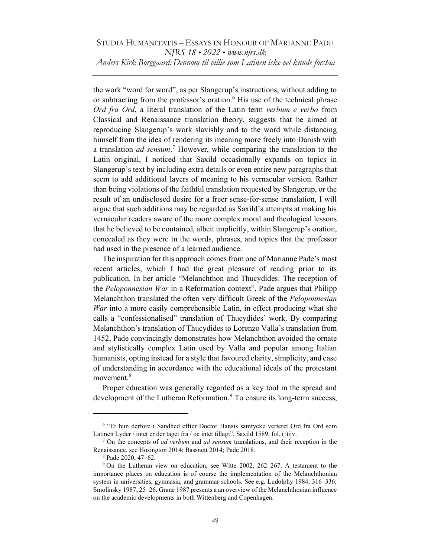the work "word for word", as per Slangerup's instructions, without adding to or subtracting from the professor's oration.<sup>6</sup> His use of the technical phrase Ord fra Ord, a literal translation of the Latin term verbum e verbo from Classical and Renaissance translation theory, suggests that he aimed at reproducing Slangerup's work slavishly and to the word while distancing himself from the idea of rendering its meaning more freely into Danish with a translation *ad sensum*.<sup>7</sup> However, while comparing the translation to the Latin original, I noticed that Saxild occasionally expands on topics in Slangerup's text by including extra details or even entire new paragraphs that seem to add additional layers of meaning to his vernacular version. Rather than being violations of the faithful translation requested by Slangerup, or the result of an undisclosed desire for a freer sense-for-sense translation, I will argue that such additions may be regarded as Saxild's attempts at making his vernacular readers aware of the more complex moral and theological lessons that he believed to be contained, albeit implicitly, within Slangerup's oration, concealed as they were in the words, phrases, and topics that the professor had used in the presence of a learned audience.

The inspiration for this approach comes from one of Marianne Pade's most recent articles, which I had the great pleasure of reading prior to its publication. In her article "Melanchthon and Thucydides: The reception of the *Peloponnesian War* in a Reformation context", Pade argues that Philipp Melanchthon translated the often very difficult Greek of the Peloponnesian War into a more easily comprehensible Latin, in effect producing what she calls a "confessionalised" translation of Thucydides' work. By comparing Melanchthon's translation of Thucydides to Lorenzo Valla's translation from 1452, Pade convincingly demonstrates how Melanchthon avoided the ornate and stylistically complex Latin used by Valla and popular among Italian humanists, opting instead for a style that favoured clarity, simplicity, and ease of understanding in accordance with the educational ideals of the protestant movement.<sup>8</sup>

Proper education was generally regarded as a key tool in the spread and development of the Lutheran Reformation.<sup>9</sup> To ensure its long-term success,

<sup>&</sup>lt;sup>6</sup> "Er hun derfore i Sandhed effter Doctor Hansis samtycke verteret Ord fra Ord som Latinen Lyder / intet er der taget fra / oc intet tillagt", Saxild 1589, fol. (:)ijv.

 $7$  On the concepts of *ad verbum* and *ad sensum* translations, and their reception in the Renaissance, see Hosington 2014; Bassnett 2014; Pade 2018.

<sup>8</sup> Pade 2020, 47‒62.

<sup>&</sup>lt;sup>9</sup> On the Lutheran view on education, see Witte 2002, 262–267. A testament to the importance places on education is of course the implementation of the Melanchthonian system in universities, gymnasia, and grammar schools. See e.g. Ludolphy 1984, 316–336; Smolinsky 1987, 25-26. Grane 1987 presents a an overview of the Melanchthonian influence on the academic developments in both Wittenberg and Copenhagen.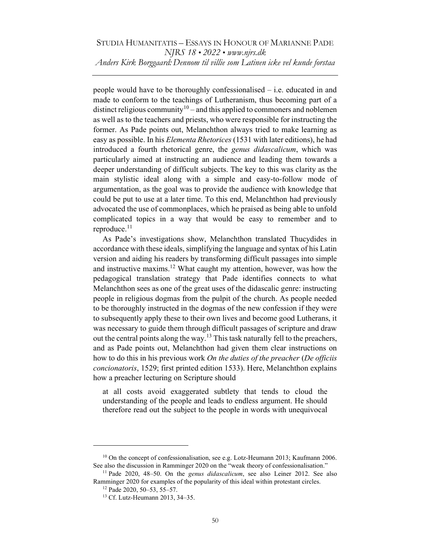people would have to be thoroughly confessionalised – i.e. educated in and made to conform to the teachings of Lutheranism, thus becoming part of a distinct religious community<sup>10</sup> – and this applied to commoners and noblemen as well as to the teachers and priests, who were responsible for instructing the former. As Pade points out, Melanchthon always tried to make learning as easy as possible. In his *Elementa Rhetorices* (1531 with later editions), he had introduced a fourth rhetorical genre, the *genus didascalicum*, which was particularly aimed at instructing an audience and leading them towards a deeper understanding of difficult subjects. The key to this was clarity as the main stylistic ideal along with a simple and easy-to-follow mode of argumentation, as the goal was to provide the audience with knowledge that could be put to use at a later time. To this end, Melanchthon had previously advocated the use of commonplaces, which he praised as being able to unfold complicated topics in a way that would be easy to remember and to reproduce.<sup>11</sup>

As Pade's investigations show, Melanchthon translated Thucydides in accordance with these ideals, simplifying the language and syntax of his Latin version and aiding his readers by transforming difficult passages into simple and instructive maxims.<sup>12</sup> What caught my attention, however, was how the pedagogical translation strategy that Pade identifies connects to what Melanchthon sees as one of the great uses of the didascalic genre: instructing people in religious dogmas from the pulpit of the church. As people needed to be thoroughly instructed in the dogmas of the new confession if they were to subsequently apply these to their own lives and become good Lutherans, it was necessary to guide them through difficult passages of scripture and draw out the central points along the way.<sup>13</sup> This task naturally fell to the preachers, and as Pade points out, Melanchthon had given them clear instructions on how to do this in his previous work On the duties of the preacher (De officiis concionatoris, 1529; first printed edition 1533). Here, Melanchthon explains how a preacher lecturing on Scripture should

at all costs avoid exaggerated subtlety that tends to cloud the understanding of the people and leads to endless argument. He should therefore read out the subject to the people in words with unequivocal

<sup>&</sup>lt;sup>10</sup> On the concept of confessionalisation, see e.g. Lotz-Heumann 2013; Kaufmann 2006. See also the discussion in Ramminger 2020 on the "weak theory of confessionalisation."

<sup>&</sup>lt;sup>11</sup> Pade 2020, 48–50. On the *genus didascalicum*, see also Leiner 2012. See also Ramminger 2020 for examples of the popularity of this ideal within protestant circles.

<sup>12</sup> Pade 2020, 50‒53, 55‒57.

<sup>13</sup> Cf. Lutz-Heumann 2013, 34‒35.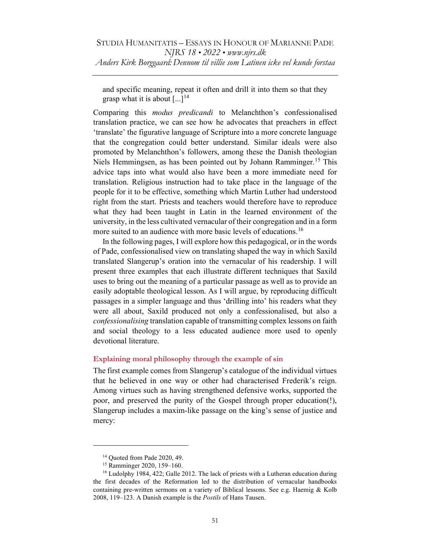and specific meaning, repeat it often and drill it into them so that they grasp what it is about  $[\dots]$ <sup>14</sup>

Comparing this modus predicandi to Melanchthon's confessionalised translation practice, we can see how he advocates that preachers in effect 'translate' the figurative language of Scripture into a more concrete language that the congregation could better understand. Similar ideals were also promoted by Melanchthon's followers, among these the Danish theologian Niels Hemmingsen, as has been pointed out by Johann Ramminger.<sup>15</sup> This advice taps into what would also have been a more immediate need for translation. Religious instruction had to take place in the language of the people for it to be effective, something which Martin Luther had understood right from the start. Priests and teachers would therefore have to reproduce what they had been taught in Latin in the learned environment of the university, in the less cultivated vernacular of their congregation and in a form more suited to an audience with more basic levels of educations.<sup>16</sup>

In the following pages, I will explore how this pedagogical, or in the words of Pade, confessionalised view on translating shaped the way in which Saxild translated Slangerup's oration into the vernacular of his readership. I will present three examples that each illustrate different techniques that Saxild uses to bring out the meaning of a particular passage as well as to provide an easily adoptable theological lesson. As I will argue, by reproducing difficult passages in a simpler language and thus 'drilling into' his readers what they were all about, Saxild produced not only a confessionalised, but also a confessionalising translation capable of transmitting complex lessons on faith and social theology to a less educated audience more used to openly devotional literature.

### Explaining moral philosophy through the example of sin

The first example comes from Slangerup's catalogue of the individual virtues that he believed in one way or other had characterised Frederik's reign. Among virtues such as having strengthened defensive works, supported the poor, and preserved the purity of the Gospel through proper education(!), Slangerup includes a maxim-like passage on the king's sense of justice and mercy:

<sup>&</sup>lt;sup>14</sup> Quoted from Pade 2020, 49.

<sup>&</sup>lt;sup>15</sup> Ramminger 2020, 159-160.

<sup>&</sup>lt;sup>16</sup> Ludolphy 1984, 422; Galle 2012. The lack of priests with a Lutheran education during the first decades of the Reformation led to the distribution of vernacular handbooks containing pre-written sermons on a variety of Biblical lessons. See e.g. Haemig & Kolb 2008, 119–123. A Danish example is the *Postils* of Hans Tausen.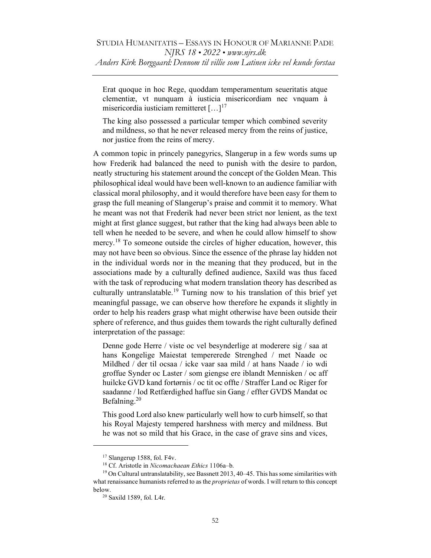Erat quoque in hoc Rege, quoddam temperamentum seueritatis atque clementiæ, vt nunquam à iusticia misericordiam nec vnquam à misericordia iusticiam remitteret [...]<sup>17</sup>

The king also possessed a particular temper which combined severity and mildness, so that he never released mercy from the reins of justice, nor justice from the reins of mercy.

A common topic in princely panegyrics, Slangerup in a few words sums up how Frederik had balanced the need to punish with the desire to pardon, neatly structuring his statement around the concept of the Golden Mean. This philosophical ideal would have been well-known to an audience familiar with classical moral philosophy, and it would therefore have been easy for them to grasp the full meaning of Slangerup's praise and commit it to memory. What he meant was not that Frederik had never been strict nor lenient, as the text might at first glance suggest, but rather that the king had always been able to tell when he needed to be severe, and when he could allow himself to show mercy.<sup>18</sup> To someone outside the circles of higher education, however, this may not have been so obvious. Since the essence of the phrase lay hidden not in the individual words nor in the meaning that they produced, but in the associations made by a culturally defined audience, Saxild was thus faced with the task of reproducing what modern translation theory has described as culturally untranslatable.<sup>19</sup> Turning now to his translation of this brief yet meaningful passage, we can observe how therefore he expands it slightly in order to help his readers grasp what might otherwise have been outside their sphere of reference, and thus guides them towards the right culturally defined interpretation of the passage:

Denne gode Herre / viste oc vel besynderlige at moderere sig / saa at hans Kongelige Maiestat tempererede Strenghed / met Naade oc Mildhed / der til ocsaa / icke vaar saa mild / at hans Naade / io wdi groffue Synder oc Laster / som giengse ere iblandt Mennisken / oc aff huilcke GVD kand fortørnis / oc tit oc offte / Straffer Land oc Riger for saadanne / lod Retfærdighed haffue sin Gang / effter GVDS Mandat oc Befalning.<sup>20</sup>

This good Lord also knew particularly well how to curb himself, so that his Royal Majesty tempered harshness with mercy and mildness. But he was not so mild that his Grace, in the case of grave sins and vices,

<sup>&</sup>lt;sup>17</sup> Slangerup 1588, fol. F4v.

<sup>&</sup>lt;sup>18</sup> Cf. Aristotle in Nicomachaean Ethics 1106a-b.

<sup>&</sup>lt;sup>19</sup> On Cultural untranslatability, see Bassnett 2013, 40–45. This has some similarities with what renaissance humanists referred to as the *proprietas* of words. I will return to this concept below.

<sup>20</sup> Saxild 1589, fol. L4r.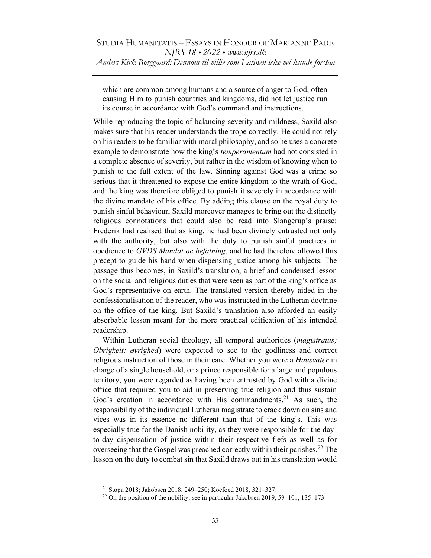which are common among humans and a source of anger to God, often causing Him to punish countries and kingdoms, did not let justice run its course in accordance with God's command and instructions.

While reproducing the topic of balancing severity and mildness, Saxild also makes sure that his reader understands the trope correctly. He could not rely on his readers to be familiar with moral philosophy, and so he uses a concrete example to demonstrate how the king's *temperamentum* had not consisted in a complete absence of severity, but rather in the wisdom of knowing when to punish to the full extent of the law. Sinning against God was a crime so serious that it threatened to expose the entire kingdom to the wrath of God, and the king was therefore obliged to punish it severely in accordance with the divine mandate of his office. By adding this clause on the royal duty to punish sinful behaviour, Saxild moreover manages to bring out the distinctly religious connotations that could also be read into Slangerup's praise: Frederik had realised that as king, he had been divinely entrusted not only with the authority, but also with the duty to punish sinful practices in obedience to GVDS Mandat oc befalning, and he had therefore allowed this precept to guide his hand when dispensing justice among his subjects. The passage thus becomes, in Saxild's translation, a brief and condensed lesson on the social and religious duties that were seen as part of the king's office as God's representative on earth. The translated version thereby aided in the confessionalisation of the reader, who was instructed in the Lutheran doctrine on the office of the king. But Saxild's translation also afforded an easily absorbable lesson meant for the more practical edification of his intended readership.

Within Lutheran social theology, all temporal authorities (*magistratus*; Obrigkeit; øvrighed) were expected to see to the godliness and correct religious instruction of those in their care. Whether you were a *Hausvater* in charge of a single household, or a prince responsible for a large and populous territory, you were regarded as having been entrusted by God with a divine office that required you to aid in preserving true religion and thus sustain God's creation in accordance with His commandments.<sup>21</sup> As such, the responsibility of the individual Lutheran magistrate to crack down on sins and vices was in its essence no different than that of the king's. This was especially true for the Danish nobility, as they were responsible for the dayto-day dispensation of justice within their respective fiefs as well as for overseeing that the Gospel was preached correctly within their parishes.<sup>22</sup> The lesson on the duty to combat sin that Saxild draws out in his translation would

<sup>&</sup>lt;sup>21</sup> Stopa 2018; Jakobsen 2018, 249-250; Koefoed 2018, 321-327.

<sup>&</sup>lt;sup>22</sup> On the position of the nobility, see in particular Jakobsen 2019, 59–101, 135–173.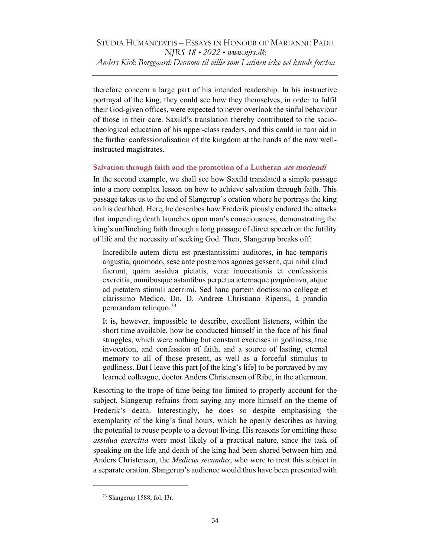therefore concern a large part of his intended readership. In his instructive portrayal of the king, they could see how they themselves, in order to fulfil their God-given offices, were expected to never overlook the sinful behaviour of those in their care. Saxild's translation thereby contributed to the sociotheological education of his upper-class readers, and this could in turn aid in the further confessionalisation of the kingdom at the hands of the now wellinstructed magistrates.

# Salvation through faith and the promotion of a Lutheran ars moriendi

In the second example, we shall see how Saxild translated a simple passage into a more complex lesson on how to achieve salvation through faith. This passage takes us to the end of Slangerup's oration where he portrays the king on his deathbed. Here, he describes how Frederik piously endured the attacks that impending death launches upon man's consciousness, demonstrating the king's unflinching faith through a long passage of direct speech on the futility of life and the necessity of seeking God. Then, Slangerup breaks off:

Incredibile autem dictu est præstantissimi auditores, in hac temporis angustia, quomodo, sese ante postremos agones gesserit, qui nihil aliud fuerunt, quàm assidua pietatis, veræ inuocationis et confessionis exercitia, omnibusque astantibus perpetua æternaque μνημόσυνα, atque ad pietatem stimuli acerrimi. Sed hanc partem doctissimo collegæ et clarissimo Medico, Dn. D. Andreæ Christiano Ripensi, à prandio perorandam relinquo. $^{23}$ 

It is, however, impossible to describe, excellent listeners, within the short time available, how he conducted himself in the face of his final struggles, which were nothing but constant exercises in godliness, true invocation, and confession of faith, and a source of lasting, eternal memory to all of those present, as well as a forceful stimulus to godliness. But I leave this part [of the king's life] to be portrayed by my learned colleague, doctor Anders Christensen of Ribe, in the afternoon.

Resorting to the trope of time being too limited to properly account for the subject, Slangerup refrains from saying any more himself on the theme of Frederik's death. Interestingly, he does so despite emphasising the exemplarity of the king's final hours, which he openly describes as having the potential to rouse people to a devout living. His reasons for omitting these assidua exercitia were most likely of a practical nature, since the task of speaking on the life and death of the king had been shared between him and Anders Christensen, the *Medicus secundus*, who were to treat this subject in a separate oration. Slangerup's audience would thus have been presented with

<sup>23</sup> Slangerup 1588, fol. I3r.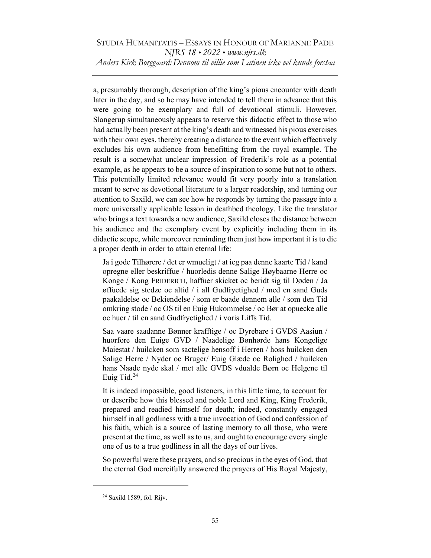a, presumably thorough, description of the king's pious encounter with death later in the day, and so he may have intended to tell them in advance that this were going to be exemplary and full of devotional stimuli. However, Slangerup simultaneously appears to reserve this didactic effect to those who had actually been present at the king's death and witnessed his pious exercises with their own eyes, thereby creating a distance to the event which effectively excludes his own audience from benefitting from the royal example. The result is a somewhat unclear impression of Frederik's role as a potential example, as he appears to be a source of inspiration to some but not to others. This potentially limited relevance would fit very poorly into a translation meant to serve as devotional literature to a larger readership, and turning our attention to Saxild, we can see how he responds by turning the passage into a more universally applicable lesson in deathbed theology. Like the translator who brings a text towards a new audience, Saxild closes the distance between his audience and the exemplary event by explicitly including them in its didactic scope, while moreover reminding them just how important it is to die a proper death in order to attain eternal life:

Ja i gode Tilhørere / det er wmueligt / at ieg paa denne kaarte Tid / kand opregne eller beskriffue / huorledis denne Salige Høybaarne Herre oc Konge / Kong FRIDERICH, haffuer skicket oc beridt sig til Døden / Ja øffuede sig stedze oc altid / i all Gudfryctighed / med en sand Guds paakaldelse oc Bekiendelse / som er baade dennem alle / som den Tid omkring stode / oc OS til en Euig Hukommelse / oc Bør at opuecke alle oc huer / til en sand Gudfryctighed / i voris Liffs Tid.

Saa vaare saadanne Bønner krafftige / oc Dyrebare i GVDS Aasiun / huorfore den Euige GVD / Naadelige Bønhørde hans Kongelige Maiestat / huilcken som sactelige hensoff i Herren / hoss huilcken den Salige Herre / Nyder oc Bruger/ Euig Glæde oc Rolighed / huilcken hans Naade nyde skal / met alle GVDS vdualde Børn oc Helgene til Euig Tid.<sup>24</sup>

It is indeed impossible, good listeners, in this little time, to account for or describe how this blessed and noble Lord and King, King Frederik, prepared and readied himself for death; indeed, constantly engaged himself in all godliness with a true invocation of God and confession of his faith, which is a source of lasting memory to all those, who were present at the time, as well as to us, and ought to encourage every single one of us to a true godliness in all the days of our lives.

So powerful were these prayers, and so precious in the eyes of God, that the eternal God mercifully answered the prayers of His Royal Majesty,

<sup>24</sup> Saxild 1589, fol. Rijv.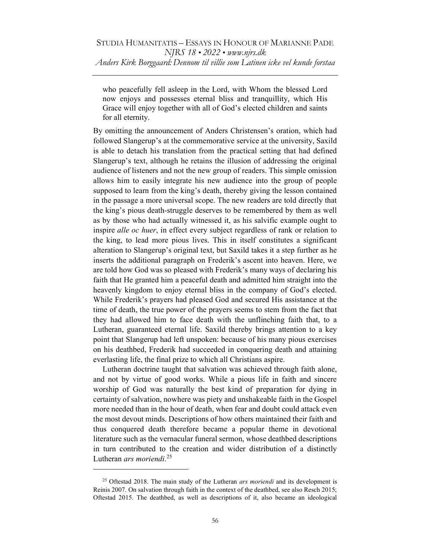who peacefully fell asleep in the Lord, with Whom the blessed Lord now enjoys and possesses eternal bliss and tranquillity, which His Grace will enjoy together with all of God's elected children and saints for all eternity.

By omitting the announcement of Anders Christensen's oration, which had followed Slangerup's at the commemorative service at the university, Saxild is able to detach his translation from the practical setting that had defined Slangerup's text, although he retains the illusion of addressing the original audience of listeners and not the new group of readers. This simple omission allows him to easily integrate his new audience into the group of people supposed to learn from the king's death, thereby giving the lesson contained in the passage a more universal scope. The new readers are told directly that the king's pious death-struggle deserves to be remembered by them as well as by those who had actually witnessed it, as his salvific example ought to inspire alle oc huer, in effect every subject regardless of rank or relation to the king, to lead more pious lives. This in itself constitutes a significant alteration to Slangerup's original text, but Saxild takes it a step further as he inserts the additional paragraph on Frederik's ascent into heaven. Here, we are told how God was so pleased with Frederik's many ways of declaring his faith that He granted him a peaceful death and admitted him straight into the heavenly kingdom to enjoy eternal bliss in the company of God's elected. While Frederik's prayers had pleased God and secured His assistance at the time of death, the true power of the prayers seems to stem from the fact that they had allowed him to face death with the unflinching faith that, to a Lutheran, guaranteed eternal life. Saxild thereby brings attention to a key point that Slangerup had left unspoken: because of his many pious exercises on his deathbed, Frederik had succeeded in conquering death and attaining everlasting life, the final prize to which all Christians aspire.

Lutheran doctrine taught that salvation was achieved through faith alone, and not by virtue of good works. While a pious life in faith and sincere worship of God was naturally the best kind of preparation for dying in certainty of salvation, nowhere was piety and unshakeable faith in the Gospel more needed than in the hour of death, when fear and doubt could attack even the most devout minds. Descriptions of how others maintained their faith and thus conquered death therefore became a popular theme in devotional literature such as the vernacular funeral sermon, whose deathbed descriptions in turn contributed to the creation and wider distribution of a distinctly Lutheran ars moriendi.<sup>25</sup>

 $25$  Oftestad 2018. The main study of the Lutheran *ars moriendi* and its development is Reinis 2007. On salvation through faith in the context of the deathbed, see also Resch 2015; Oftestad 2015. The deathbed, as well as descriptions of it, also became an ideological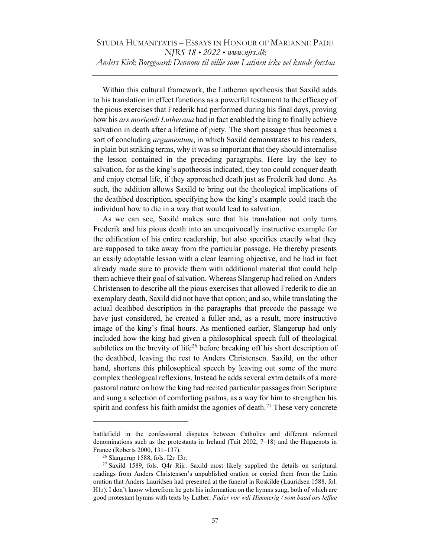Within this cultural framework, the Lutheran apotheosis that Saxild adds to his translation in effect functions as a powerful testament to the efficacy of the pious exercises that Frederik had performed during his final days, proving how his ars moriendi Lutherana had in fact enabled the king to finally achieve salvation in death after a lifetime of piety. The short passage thus becomes a sort of concluding *argumentum*, in which Saxild demonstrates to his readers, in plain but striking terms, why it was so important that they should internalise the lesson contained in the preceding paragraphs. Here lay the key to salvation, for as the king's apotheosis indicated, they too could conquer death and enjoy eternal life, if they approached death just as Frederik had done. As such, the addition allows Saxild to bring out the theological implications of the deathbed description, specifying how the king's example could teach the individual how to die in a way that would lead to salvation.

As we can see, Saxild makes sure that his translation not only turns Frederik and his pious death into an unequivocally instructive example for the edification of his entire readership, but also specifies exactly what they are supposed to take away from the particular passage. He thereby presents an easily adoptable lesson with a clear learning objective, and he had in fact already made sure to provide them with additional material that could help them achieve their goal of salvation. Whereas Slangerup had relied on Anders Christensen to describe all the pious exercises that allowed Frederik to die an exemplary death, Saxild did not have that option; and so, while translating the actual deathbed description in the paragraphs that precede the passage we have just considered, he created a fuller and, as a result, more instructive image of the king's final hours. As mentioned earlier, Slangerup had only included how the king had given a philosophical speech full of theological subtleties on the brevity of life<sup>26</sup> before breaking off his short description of the deathbed, leaving the rest to Anders Christensen. Saxild, on the other hand, shortens this philosophical speech by leaving out some of the more complex theological reflexions. Instead he adds several extra details of a more pastoral nature on how the king had recited particular passages from Scripture and sung a selection of comforting psalms, as a way for him to strengthen his spirit and confess his faith amidst the agonies of death.<sup>27</sup> These very concrete

battlefield in the confessional disputes between Catholics and different reformed denominations such as the protestants in Ireland (Tait 2002, 7–18) and the Huguenots in France (Roberts 2000, 131–137).

<sup>26</sup> Slangerup 1588, fols. I2r–I3r.

<sup>&</sup>lt;sup>27</sup> Saxild 1589, fols. Q4r-Rijr. Saxild most likely supplied the details on scriptural readings from Anders Christensen's unpublished oration or copied them from the Latin oration that Anders Lauridsen had presented at the funeral in Roskilde (Lauridsen 1588, fol. H1r). I don't know wherefrom he gets his information on the hymns sung, both of which are good protestant hymns with texts by Luther: Fader vor wdi Himmerig / som baad oss leffue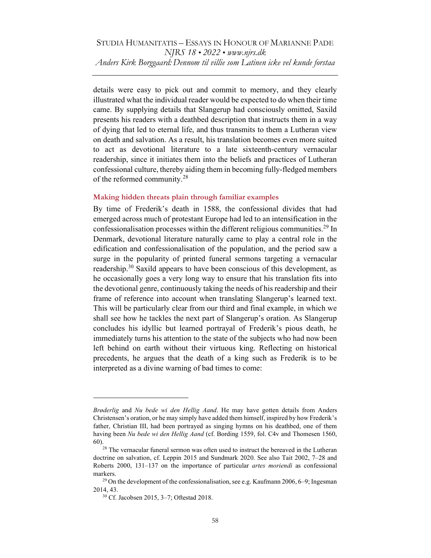details were easy to pick out and commit to memory, and they clearly illustrated what the individual reader would be expected to do when their time came. By supplying details that Slangerup had consciously omitted, Saxild presents his readers with a deathbed description that instructs them in a way of dying that led to eternal life, and thus transmits to them a Lutheran view on death and salvation. As a result, his translation becomes even more suited to act as devotional literature to a late sixteenth-century vernacular readership, since it initiates them into the beliefs and practices of Lutheran confessional culture, thereby aiding them in becoming fully-fledged members of the reformed community.<sup>28</sup>

### Making hidden threats plain through familiar examples

By time of Frederik's death in 1588, the confessional divides that had emerged across much of protestant Europe had led to an intensification in the confessionalisation processes within the different religious communities.<sup>29</sup> In Denmark, devotional literature naturally came to play a central role in the edification and confessionalisation of the population, and the period saw a surge in the popularity of printed funeral sermons targeting a vernacular readership.<sup>30</sup> Saxild appears to have been conscious of this development, as he occasionally goes a very long way to ensure that his translation fits into the devotional genre, continuously taking the needs of his readership and their frame of reference into account when translating Slangerup's learned text. This will be particularly clear from our third and final example, in which we shall see how he tackles the next part of Slangerup's oration. As Slangerup concludes his idyllic but learned portrayal of Frederik's pious death, he immediately turns his attention to the state of the subjects who had now been left behind on earth without their virtuous king. Reflecting on historical precedents, he argues that the death of a king such as Frederik is to be interpreted as a divine warning of bad times to come:

Brøderlig and Nu bede wi den Hellig Aand. He may have gotten details from Anders Christensen's oration, or he may simply have added them himself, inspired by how Frederik's father, Christian III, had been portrayed as singing hymns on his deathbed, one of them having been Nu bede wi den Hellig Aand (cf. Bording 1559, fol. C4v and Thomesen 1560, 60).

 $28$  The vernacular funeral sermon was often used to instruct the bereaved in the Lutheran doctrine on salvation, cf. Leppin 2015 and Sundmark 2020. See also Tait 2002, 7–28 and Roberts  $2000$ ,  $131-137$  on the importance of particular *artes moriendi* as confessional markers.

<sup>&</sup>lt;sup>29</sup> On the development of the confessionalisation, see e.g. Kaufmann 2006, 6–9; Ingesman 2014, 43.

<sup>30</sup> Cf. Jacobsen 2015, 3–7; Oftestad 2018.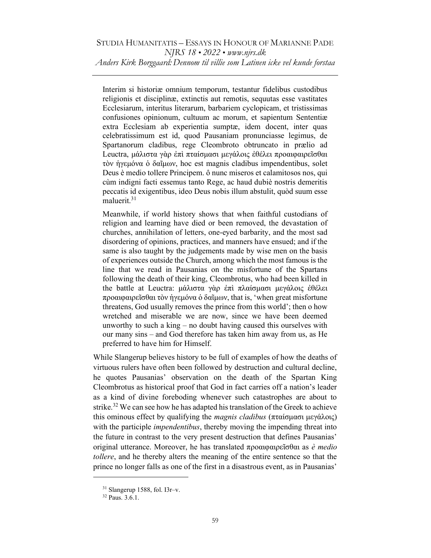Interim si historiæ omnium temporum, testantur fidelibus custodibus religionis et disciplinæ, extinctis aut remotis, sequutas esse vastitates Ecclesiarum, interitus literarum, barbariem cyclopicam, et tristissimas confusiones opinionum, cultuum ac morum, et sapientum Sententiæ extra Ecclesiam ab experientia sumptæ, idem docent, inter quas celebratissimum est id, quod Pausaniam pronunciasse legimus, de Spartanorum cladibus, rege Cleombroto obtruncato in prælio ad Leuctra, μάλιστα γὰρ ἐπὶ πταίσμασι μεγάλοις ἐθέλει προαιφαιρεῖσθαι τὸν ἡγεμόνα ὁ δαῖμων, hoc est magnis cladibus impendentibus, solet Deus è medio tollere Principem. ô nunc miseros et calamitosos nos, qui cùm indigni facti essemus tanto Rege, ac haud dubiè nostris demeritis peccatis id exigentibus, ideo Deus nobis illum abstulit, quòd suum esse maluerit.<sup>31</sup>

Meanwhile, if world history shows that when faithful custodians of religion and learning have died or been removed, the devastation of churches, annihilation of letters, one-eyed barbarity, and the most sad disordering of opinions, practices, and manners have ensued; and if the same is also taught by the judgements made by wise men on the basis of experiences outside the Church, among which the most famous is the line that we read in Pausanias on the misfortune of the Spartans following the death of their king, Cleombrotus, who had been killed in the battle at Leuctra: μάλιστα γὰρ ἐπὶ πλαίσμασι μεγάλοις ἐθέλει προαιφαιρεῖσθαι τὸν ἡγεμόνα ὁ δαῖμων, that is, 'when great misfortune threatens, God usually removes the prince from this world'; then o how wretched and miserable we are now, since we have been deemed unworthy to such a king – no doubt having caused this ourselves with our many sins – and God therefore has taken him away from us, as He preferred to have him for Himself.

While Slangerup believes history to be full of examples of how the deaths of virtuous rulers have often been followed by destruction and cultural decline, he quotes Pausanias' observation on the death of the Spartan King Cleombrotus as historical proof that God in fact carries off a nation's leader as a kind of divine foreboding whenever such catastrophes are about to strike.<sup>32</sup> We can see how he has adapted his translation of the Greek to achieve this ominous effect by qualifying the *magnis cladibus* (πταίσμασι μεγάλοις) with the participle *impendentibus*, thereby moving the impending threat into the future in contrast to the very present destruction that defines Pausanias' original utterance. Moreover, he has translated προαιφαιρεῖσθαι as *è medio* tollere, and he thereby alters the meaning of the entire sentence so that the prince no longer falls as one of the first in a disastrous event, as in Pausanias'

 $31$  Slangerup 1588, fol. I3r-v.

<sup>32</sup> Paus. 3.6.1.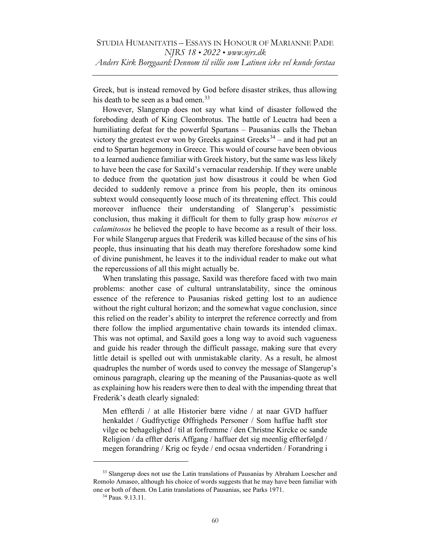Greek, but is instead removed by God before disaster strikes, thus allowing his death to be seen as a bad omen.<sup>33</sup>

However, Slangerup does not say what kind of disaster followed the foreboding death of King Cleombrotus. The battle of Leuctra had been a humiliating defeat for the powerful Spartans – Pausanias calls the Theban victory the greatest ever won by Greeks against Greeks<sup>34</sup> – and it had put an end to Spartan hegemony in Greece. This would of course have been obvious to a learned audience familiar with Greek history, but the same was less likely to have been the case for Saxild's vernacular readership. If they were unable to deduce from the quotation just how disastrous it could be when God decided to suddenly remove a prince from his people, then its ominous subtext would consequently loose much of its threatening effect. This could moreover influence their understanding of Slangerup's pessimistic conclusion, thus making it difficult for them to fully grasp how *miseros et* calamitosos he believed the people to have become as a result of their loss. For while Slangerup argues that Frederik was killed because of the sins of his people, thus insinuating that his death may therefore foreshadow some kind of divine punishment, he leaves it to the individual reader to make out what the repercussions of all this might actually be.

When translating this passage, Saxild was therefore faced with two main problems: another case of cultural untranslatability, since the ominous essence of the reference to Pausanias risked getting lost to an audience without the right cultural horizon; and the somewhat vague conclusion, since this relied on the reader's ability to interpret the reference correctly and from there follow the implied argumentative chain towards its intended climax. This was not optimal, and Saxild goes a long way to avoid such vagueness and guide his reader through the difficult passage, making sure that every little detail is spelled out with unmistakable clarity. As a result, he almost quadruples the number of words used to convey the message of Slangerup's ominous paragraph, clearing up the meaning of the Pausanias-quote as well as explaining how his readers were then to deal with the impending threat that Frederik's death clearly signaled:

Men effterdi / at alle Historier bære vidne / at naar GVD haffuer henkaldet / Gudfryctige Øffrigheds Personer / Som haffue hafft stor vilge oc behagelighed / til at forfremme / den Christne Kircke oc sande Religion / da effter deris Affgang / haffuer det sig meenlig effterfølgd / megen forandring / Krig oc feyde / end ocsaa vndertiden / Forandring i

<sup>&</sup>lt;sup>33</sup> Slangerup does not use the Latin translations of Pausanias by Abraham Loescher and Romolo Amaseo, although his choice of words suggests that he may have been familiar with one or both of them. On Latin translations of Pausanias, see Parks 1971.

<sup>34</sup> Paus. 9.13.11.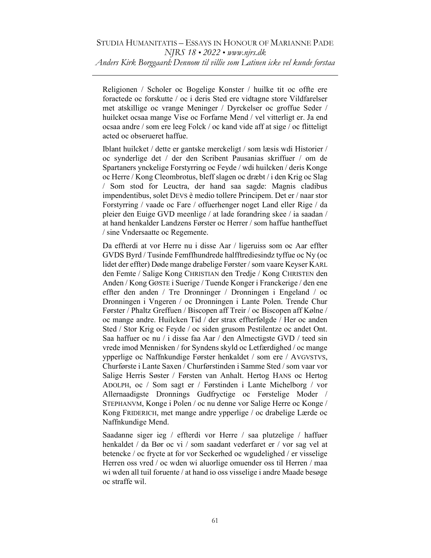Religionen / Scholer oc Bogelige Konster / huilke tit oc offte ere foractede oc forskutte / oc i deris Sted ere vidtagne store Vildfarelser met atskillige oc vrange Meninger / Dyrckelser oc groffue Seder / huilcket ocsaa mange Vise oc Forfarne Mend / vel vitterligt er. Ja end ocsaa andre / som ere leeg Folck / oc kand vide aff at sige / oc flitteligt acted oc obserueret haffue.

Iblant huilcket / dette er gantske merckeligt / som læsis wdi Historier / oc synderlige det / der den Scribent Pausanias skriffuer / om de Spartaners ynckelige Forstyrring oc Feyde / wdi huilcken / deris Konge oc Herre / Kong Cleombrotus, bleff slagen oc dræbt / i den Krig oc Slag / Som stod for Leuctra, der hand saa sagde: Magnis cladibus impendentibus, solet DEVS è medio tollere Principem. Det er / naar stor Forstyrring / vaade oc Fare / offuerhenger noget Land eller Rige / da pleier den Euige GVD meenlige / at lade forandring skee / ia saadan / at hand henkalder Landzens Førster oc Herrer / som haffue hantheffuet / sine Vndersaatte oc Regemente.

Da effterdi at vor Herre nu i disse Aar / ligeruiss som oc Aar effter GVDS Byrd / Tusinde Femffhundrede halfftrediesindz tyffue oc Ny (oc lidet der effter) Døde mange drabelige Førster / som vaare Keyser KARL den Femte / Salige Kong CHRISTIAN den Tredje / Kong CHRISTEN den Anden / Kong GØSTE i Suerige / Tuende Konger i Franckerige / den ene effter den anden / Tre Dronninger / Dronningen i Engeland / oc Dronningen i Vngeren / oc Dronningen i Lante Polen. Trende Chur Førster / Phaltz Greffuen / Biscopen aff Treir / oc Biscopen aff Kølne / oc mange andre. Huilcken Tid / der strax effterfølgde / Her oc anden Sted / Stor Krig oc Feyde / oc siden grusom Pestilentze oc andet Ont. Saa haffuer oc nu / i disse faa Aar / den Almectigste GVD / teed sin vrede imod Mennisken / for Syndens skyld oc Letfærdighed / oc mange ypperlige oc Naffnkundige Førster henkaldet / som ere / AVGVSTVS, Churførste i Lante Saxen / Churførstinden i Samme Sted / som vaar vor Salige Herris Søster / Førsten van Anhalt. Hertog HANS oc Hertog ADOLPH, oc / Som sagt er / Førstinden i Lante Michelborg / vor Allernaadigste Dronnings Gudfryctige oc Førstelige Moder / STEPHANVM, Konge i Polen / oc nu denne vor Salige Herre oc Konge / Kong FRIDERICH, met mange andre ypperlige / oc drabelige Lærde oc Naffnkundige Mend.

Saadanne siger ieg / effterdi vor Herre / saa plutzelige / haffuer henkaldet / da Bør oc vi / som saadant vederfaret er / vor sag vel at betencke / oc frycte at for vor Seckerhed oc wgudelighed / er visselige Herren oss vred / oc wden wi aluorlige omuender oss til Herren / maa wi wden all tuil foruente / at hand io oss visselige i andre Maade besøge oc straffe wil.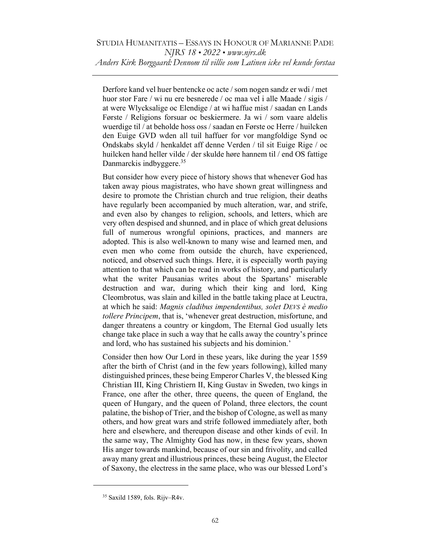Derfore kand vel huer bentencke oc acte / som nogen sandz er wdi / met huor stor Fare / wi nu ere besnerede / oc maa vel i alle Maade / sigis / at were Wlycksalige oc Elendige / at wi haffue mist / saadan en Lands Første / Religions forsuar oc beskiermere. Ja wi / som vaare aldelis wuerdige til / at beholde hoss oss / saadan en Første oc Herre / huilcken den Euige GVD wden all tuil haffuer for vor mangfoldige Synd oc Ondskabs skyld / henkaldet aff denne Verden / til sit Euige Rige / oc huilcken hand heller vilde / der skulde høre hannem til / end OS fattige Danmarckis indbyggere.<sup>35</sup>

But consider how every piece of history shows that whenever God has taken away pious magistrates, who have shown great willingness and desire to promote the Christian church and true religion, their deaths have regularly been accompanied by much alteration, war, and strife, and even also by changes to religion, schools, and letters, which are very often despised and shunned, and in place of which great delusions full of numerous wrongful opinions, practices, and manners are adopted. This is also well-known to many wise and learned men, and even men who come from outside the church, have experienced, noticed, and observed such things. Here, it is especially worth paying attention to that which can be read in works of history, and particularly what the writer Pausanias writes about the Spartans' miserable destruction and war, during which their king and lord, King Cleombrotus, was slain and killed in the battle taking place at Leuctra, at which he said: Magnis cladibus impendentibus, solet DEVS è medio tollere Principem, that is, 'whenever great destruction, misfortune, and danger threatens a country or kingdom, The Eternal God usually lets change take place in such a way that he calls away the country's prince and lord, who has sustained his subjects and his dominion.'

Consider then how Our Lord in these years, like during the year 1559 after the birth of Christ (and in the few years following), killed many distinguished princes, these being Emperor Charles V, the blessed King Christian III, King Christiern II, King Gustav in Sweden, two kings in France, one after the other, three queens, the queen of England, the queen of Hungary, and the queen of Poland, three electors, the count palatine, the bishop of Trier, and the bishop of Cologne, as well as many others, and how great wars and strife followed immediately after, both here and elsewhere, and thereupon disease and other kinds of evil. In the same way, The Almighty God has now, in these few years, shown His anger towards mankind, because of our sin and frivolity, and called away many great and illustrious princes, these being August, the Elector of Saxony, the electress in the same place, who was our blessed Lord's

 $35$  Saxild 1589, fols. Rijv-R4v.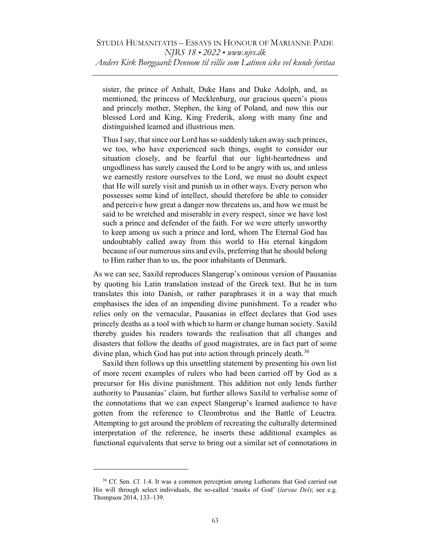sister, the prince of Anhalt, Duke Hans and Duke Adolph, and, as mentioned, the princess of Mecklenburg, our gracious queen's pious and princely mother, Stephen, the king of Poland, and now this our blessed Lord and King, King Frederik, along with many fine and distinguished learned and illustrious men.

Thus I say, that since our Lord has so suddenly taken away such princes, we too, who have experienced such things, ought to consider our situation closely, and be fearful that our light-heartedness and ungodliness has surely caused the Lord to be angry with us, and unless we earnestly restore ourselves to the Lord, we must no doubt expect that He will surely visit and punish us in other ways. Every person who possesses some kind of intellect, should therefore be able to consider and perceive how great a danger now threatens us, and how we must be said to be wretched and miserable in every respect, since we have lost such a prince and defender of the faith. For we were utterly unworthy to keep among us such a prince and lord, whom The Eternal God has undoubtably called away from this world to His eternal kingdom because of our numerous sins and evils, preferring that he should belong to Him rather than to us, the poor inhabitants of Denmark.

As we can see, Saxild reproduces Slangerup's ominous version of Pausanias by quoting his Latin translation instead of the Greek text. But he in turn translates this into Danish, or rather paraphrases it in a way that much emphasises the idea of an impending divine punishment. To a reader who relies only on the vernacular, Pausanias in effect declares that God uses princely deaths as a tool with which to harm or change human society. Saxild thereby guides his readers towards the realisation that all changes and disasters that follow the deaths of good magistrates, are in fact part of some divine plan, which God has put into action through princely death.<sup>36</sup>

Saxild then follows up this unsettling statement by presenting his own list of more recent examples of rulers who had been carried off by God as a precursor for His divine punishment. This addition not only lends further authority to Pausanias' claim, but further allows Saxild to verbalise some of the connotations that we can expect Slangerup's learned audience to have gotten from the reference to Cleombrotus and the Battle of Leuctra. Attempting to get around the problem of recreating the culturally determined interpretation of the reference, he inserts these additional examples as functional equivalents that serve to bring out a similar set of connotations in

<sup>&</sup>lt;sup>36</sup> Cf. Sen. Cl. 1.4. It was a common perception among Lutherans that God carried out His will through select individuals, the so-called 'masks of God' (larvae Dei); see e.g. Thompson 2014, 133-139.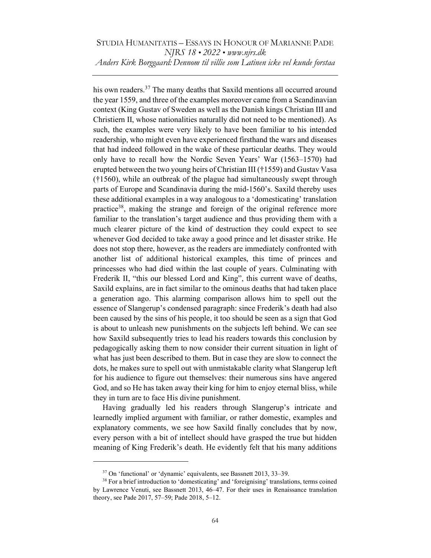his own readers.<sup>37</sup> The many deaths that Saxild mentions all occurred around the year 1559, and three of the examples moreover came from a Scandinavian context (King Gustav of Sweden as well as the Danish kings Christian III and Christiern II, whose nationalities naturally did not need to be mentioned). As such, the examples were very likely to have been familiar to his intended readership, who might even have experienced firsthand the wars and diseases that had indeed followed in the wake of these particular deaths. They would only have to recall how the Nordic Seven Years' War (1563–1570) had erupted between the two young heirs of Christian III (†1559) and Gustav Vasa (†1560), while an outbreak of the plague had simultaneously swept through parts of Europe and Scandinavia during the mid-1560's. Saxild thereby uses these additional examples in a way analogous to a 'domesticating' translation practice<sup>38</sup>, making the strange and foreign of the original reference more familiar to the translation's target audience and thus providing them with a much clearer picture of the kind of destruction they could expect to see whenever God decided to take away a good prince and let disaster strike. He does not stop there, however, as the readers are immediately confronted with another list of additional historical examples, this time of princes and princesses who had died within the last couple of years. Culminating with Frederik II, "this our blessed Lord and King", this current wave of deaths, Saxild explains, are in fact similar to the ominous deaths that had taken place a generation ago. This alarming comparison allows him to spell out the essence of Slangerup's condensed paragraph: since Frederik's death had also been caused by the sins of his people, it too should be seen as a sign that God is about to unleash new punishments on the subjects left behind. We can see how Saxild subsequently tries to lead his readers towards this conclusion by pedagogically asking them to now consider their current situation in light of what has just been described to them. But in case they are slow to connect the dots, he makes sure to spell out with unmistakable clarity what Slangerup left for his audience to figure out themselves: their numerous sins have angered God, and so He has taken away their king for him to enjoy eternal bliss, while they in turn are to face His divine punishment.

Having gradually led his readers through Slangerup's intricate and learnedly implied argument with familiar, or rather domestic, examples and explanatory comments, we see how Saxild finally concludes that by now, every person with a bit of intellect should have grasped the true but hidden meaning of King Frederik's death. He evidently felt that his many additions

<sup>37</sup> On 'functional' or 'dynamic' equivalents, see Bassnett 2013, 33–39.

<sup>&</sup>lt;sup>38</sup> For a brief introduction to 'domesticating' and 'foreignising' translations, terms coined by Lawrence Venuti, see Bassnett 2013, 46–47. For their uses in Renaissance translation theory, see Pade 2017, 57–59; Pade 2018, 5–12.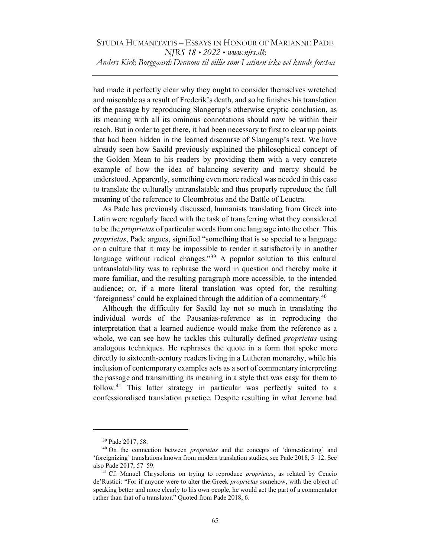had made it perfectly clear why they ought to consider themselves wretched and miserable as a result of Frederik's death, and so he finishes his translation of the passage by reproducing Slangerup's otherwise cryptic conclusion, as its meaning with all its ominous connotations should now be within their reach. But in order to get there, it had been necessary to first to clear up points that had been hidden in the learned discourse of Slangerup's text. We have already seen how Saxild previously explained the philosophical concept of the Golden Mean to his readers by providing them with a very concrete example of how the idea of balancing severity and mercy should be understood. Apparently, something even more radical was needed in this case to translate the culturally untranslatable and thus properly reproduce the full meaning of the reference to Cleombrotus and the Battle of Leuctra.

As Pade has previously discussed, humanists translating from Greek into Latin were regularly faced with the task of transferring what they considered to be the *proprietas* of particular words from one language into the other. This proprietas, Pade argues, signified "something that is so special to a language or a culture that it may be impossible to render it satisfactorily in another language without radical changes."<sup>39</sup> A popular solution to this cultural untranslatability was to rephrase the word in question and thereby make it more familiar, and the resulting paragraph more accessible, to the intended audience; or, if a more literal translation was opted for, the resulting 'foreignness' could be explained through the addition of a commentary.<sup>40</sup>

Although the difficulty for Saxild lay not so much in translating the individual words of the Pausanias-reference as in reproducing the interpretation that a learned audience would make from the reference as a whole, we can see how he tackles this culturally defined *proprietas* using analogous techniques. He rephrases the quote in a form that spoke more directly to sixteenth-century readers living in a Lutheran monarchy, while his inclusion of contemporary examples acts as a sort of commentary interpreting the passage and transmitting its meaning in a style that was easy for them to follow.<sup>41</sup> This latter strategy in particular was perfectly suited to a confessionalised translation practice. Despite resulting in what Jerome had

<sup>39</sup> Pade 2017, 58.

<sup>&</sup>lt;sup>40</sup> On the connection between *proprietas* and the concepts of 'domesticating' and 'foreignizing' translations known from modern translation studies, see Pade 2018, 5–12. See also Pade 2017, 57-59.

<sup>&</sup>lt;sup>41</sup> Cf. Manuel Chrysoloras on trying to reproduce *proprietas*, as related by Cencio de'Rustici: "For if anyone were to alter the Greek proprietas somehow, with the object of speaking better and more clearly to his own people, he would act the part of a commentator rather than that of a translator." Quoted from Pade 2018, 6.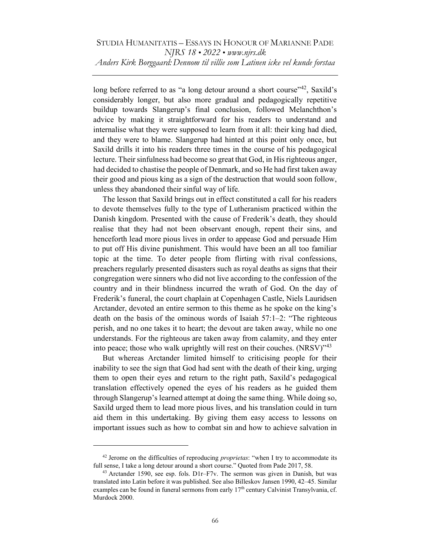long before referred to as "a long detour around a short course"<sup>42</sup>, Saxild's considerably longer, but also more gradual and pedagogically repetitive buildup towards Slangerup's final conclusion, followed Melanchthon's advice by making it straightforward for his readers to understand and internalise what they were supposed to learn from it all: their king had died, and they were to blame. Slangerup had hinted at this point only once, but Saxild drills it into his readers three times in the course of his pedagogical lecture. Their sinfulness had become so great that God, in His righteous anger, had decided to chastise the people of Denmark, and so He had first taken away their good and pious king as a sign of the destruction that would soon follow, unless they abandoned their sinful way of life.

The lesson that Saxild brings out in effect constituted a call for his readers to devote themselves fully to the type of Lutheranism practiced within the Danish kingdom. Presented with the cause of Frederik's death, they should realise that they had not been observant enough, repent their sins, and henceforth lead more pious lives in order to appease God and persuade Him to put off His divine punishment. This would have been an all too familiar topic at the time. To deter people from flirting with rival confessions, preachers regularly presented disasters such as royal deaths as signs that their congregation were sinners who did not live according to the confession of the country and in their blindness incurred the wrath of God. On the day of Frederik's funeral, the court chaplain at Copenhagen Castle, Niels Lauridsen Arctander, devoted an entire sermon to this theme as he spoke on the king's death on the basis of the ominous words of Isaiah  $57:1-2$ : "The righteous perish, and no one takes it to heart; the devout are taken away, while no one understands. For the righteous are taken away from calamity, and they enter into peace; those who walk uprightly will rest on their couches. (NRSV)"43

But whereas Arctander limited himself to criticising people for their inability to see the sign that God had sent with the death of their king, urging them to open their eyes and return to the right path, Saxild's pedagogical translation effectively opened the eyes of his readers as he guided them through Slangerup's learned attempt at doing the same thing. While doing so, Saxild urged them to lead more pious lives, and his translation could in turn aid them in this undertaking. By giving them easy access to lessons on important issues such as how to combat sin and how to achieve salvation in

 $42$  Jerome on the difficulties of reproducing *proprietas*: "when I try to accommodate its full sense, I take a long detour around a short course." Quoted from Pade 2017, 58.

 $43$  Arctander 1590, see esp. fols. D1r–F7v. The sermon was given in Danish, but was translated into Latin before it was published. See also Billeskov Jansen 1990, 42–45. Similar examples can be found in funeral sermons from early  $17<sup>th</sup>$  century Calvinist Transylvania, cf. Murdock 2000.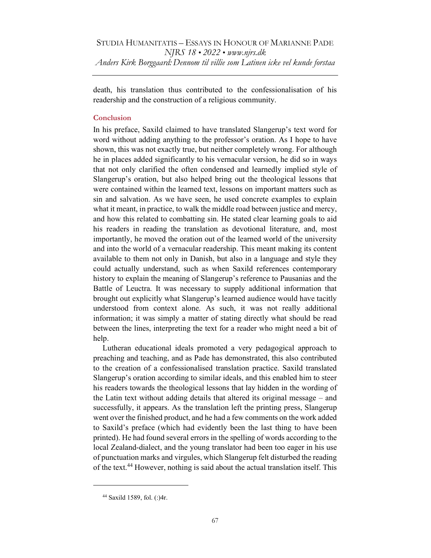death, his translation thus contributed to the confessionalisation of his readership and the construction of a religious community.

### **Conclusion**

In his preface, Saxild claimed to have translated Slangerup's text word for word without adding anything to the professor's oration. As I hope to have shown, this was not exactly true, but neither completely wrong. For although he in places added significantly to his vernacular version, he did so in ways that not only clarified the often condensed and learnedly implied style of Slangerup's oration, but also helped bring out the theological lessons that were contained within the learned text, lessons on important matters such as sin and salvation. As we have seen, he used concrete examples to explain what it meant, in practice, to walk the middle road between justice and mercy, and how this related to combatting sin. He stated clear learning goals to aid his readers in reading the translation as devotional literature, and, most importantly, he moved the oration out of the learned world of the university and into the world of a vernacular readership. This meant making its content available to them not only in Danish, but also in a language and style they could actually understand, such as when Saxild references contemporary history to explain the meaning of Slangerup's reference to Pausanias and the Battle of Leuctra. It was necessary to supply additional information that brought out explicitly what Slangerup's learned audience would have tacitly understood from context alone. As such, it was not really additional information; it was simply a matter of stating directly what should be read between the lines, interpreting the text for a reader who might need a bit of help.

Lutheran educational ideals promoted a very pedagogical approach to preaching and teaching, and as Pade has demonstrated, this also contributed to the creation of a confessionalised translation practice. Saxild translated Slangerup's oration according to similar ideals, and this enabled him to steer his readers towards the theological lessons that lay hidden in the wording of the Latin text without adding details that altered its original message – and successfully, it appears. As the translation left the printing press, Slangerup went over the finished product, and he had a few comments on the work added to Saxild's preface (which had evidently been the last thing to have been printed). He had found several errors in the spelling of words according to the local Zealand-dialect, and the young translator had been too eager in his use of punctuation marks and virgules, which Slangerup felt disturbed the reading of the text.<sup>44</sup> However, nothing is said about the actual translation itself. This

<sup>44</sup> Saxild 1589, fol. (:)4r.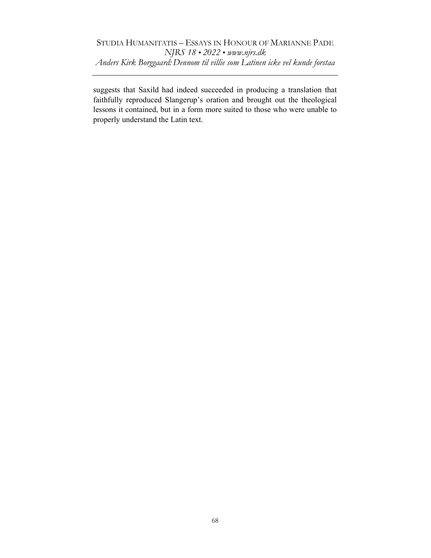suggests that Saxild had indeed succeeded in producing a translation that faithfully reproduced Slangerup's oration and brought out the theological lessons it contained, but in a form more suited to those who were unable to properly understand the Latin text.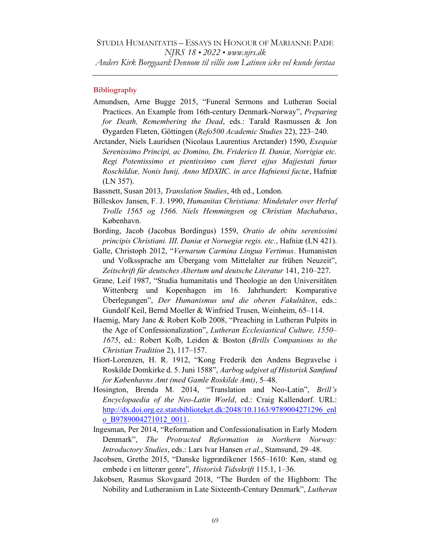# Bibliography

- Amundsen, Arne Bugge 2015, "Funeral Sermons and Lutheran Social Practices. An Example from 16th-century Denmark-Norway", Preparing for Death, Remembering the Dead, eds.: Tarald Rasmussen & Jon Øygarden Flæten, Göttingen (Refo500 Academic Studies 22), 223–240.
- Arctander, Niels Lauridsen (Nicolaus Laurentius Arctander) 1590, Exequiæ Serenissimo Principi, ac Domino, Dn. Friderico II. Daniæ, Norrigiæ etc. Regi Potentissimo et pientissimo cum fieret ejjus Majjestati funus Roschildiæ, Nonis Iunij, Anno MDXIIC. in arce Hafniensi factæ, Hafniæ (LN 357).

Bassnett, Susan 2013, *Translation Studies*, 4th ed., London.

- Billeskov Jansen, F. J. 1990, Humanitas Christiana: Mindetaler over Herluf Trolle 1565 og 1566. Niels Hemmingsen og Christian Machabæus, København.
- Bording, Jacob (Jacobus Bordingus) 1559, Oratio de obitu serenissimi principis Christiani. III. Daniæ et Noruegiæ regis. etc., Hafniæ (LN 421).
- Galle, Christoph 2012, "Vernarum Carmina Lingua Vertimus. Humanisten und Volkssprache am Übergang vom Mittelalter zur frühen Neuzeit", Zeitschrift für deutsches Altertum und deutsche Literatur 141, 210–227.
- Grane, Leif 1987, "Studia humanitatis und Theologie an den Universitäten Wittenberg und Kopenhagen im 16. Jahrhundert: Komparative Überlegungen", Der Humanismus und die oberen Fakultäten, eds.: Gundolf Keil, Bernd Moeller & Winfried Trusen, Weinheim, 65-114.
- Haemig, Mary Jane & Robert Kolb 2008, "Preaching in Lutheran Pulpits in the Age of Confessionalization", Lutheran Ecclesiastical Culture, 1550– 1675, ed.: Robert Kolb, Leiden & Boston (Brills Companions to the Christian Tradition 2), 117-157.
- Hiort-Lorenzen, H. R. 1912, "Kong Frederik den Andens Begravelse i Roskilde Domkirke d. 5. Juni 1588", Aarbog udgivet af Historisk Samfund for Københavns Amt (med Gamle Roskilde Amt), 5–48.
- Hosington, Brenda M. 2014, "Translation and Neo-Latin", Brill's Encyclopaedia of the Neo-Latin World, ed.: Craig Kallendorf. URL: http://dx.doi.org.ez.statsbiblioteket.dk:2048/10.1163/9789004271296\_enl o\_B9789004271012\_0011.
- Ingesman, Per 2014, "Reformation and Confessionalisation in Early Modern Denmark", The Protracted Reformation in Northern Norway: Introductory Studies, eds.: Lars Ivar Hansen et al., Stamsund, 29-48.
- Jacobsen, Grethe 2015, "Danske ligprædikener 1565–1610: Køn, stand og embede i en litterær genre", Historisk Tidsskrift 115.1, 1-36.
- Jakobsen, Rasmus Skovgaard 2018, "The Burden of the Highborn: The Nobility and Lutheranism in Late Sixteenth-Century Denmark", Lutheran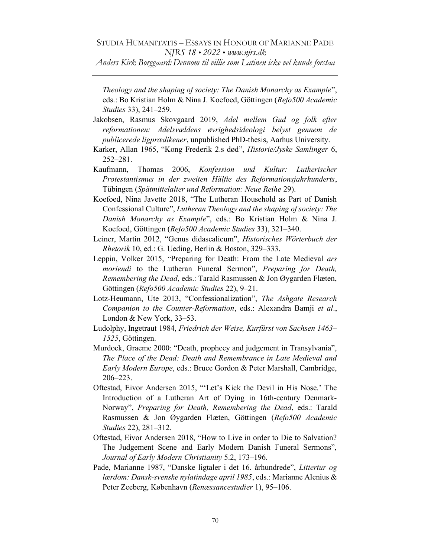# STUDIA HUMANITATIS – ESSAYS IN HONOUR OF MARIANNE PADE NJRS 18 • 2022 • www.njrs.dk

Anders Kirk Borggaard: Dennom til villie som Latinen icke vel kunde forstaa

Theology and the shaping of society: The Danish Monarchy as Example", eds.: Bo Kristian Holm & Nina J. Koefoed, Göttingen (Refo500 Academic Studies 33), 241–259.

Jakobsen, Rasmus Skovgaard 2019, Adel mellem Gud og folk efter reformationen: Adelsvældens øvrighedsideologi belyst gennem de publicerede ligprædikener, unpublished PhD-thesis, Aarhus University.

- Karker, Allan 1965, "Kong Frederik 2.s død", Historie/Jyske Samlinger 6, 252–281.
- Kaufmann, Thomas 2006, Konfession und Kultur: Lutherischer Protestantismus in der zweiten Hälfte des Reformationsjahrhunderts, Tübingen (Spätmittelalter und Reformation: Neue Reihe 29).
- Koefoed, Nina Javette 2018, "The Lutheran Household as Part of Danish Confessional Culture", Lutheran Theology and the shaping of society: The Danish Monarchy as Example", eds.: Bo Kristian Holm & Nina J. Koefoed, Göttingen (Refo500 Academic Studies 33), 321-340.
- Leiner, Martin 2012, "Genus didascalicum", Historisches Wörterbuch der Rhetorik 10, ed.: G. Ueding, Berlin & Boston,  $329-333$ .
- Leppin, Volker 2015, "Preparing for Death: From the Late Medieval ars moriendi to the Lutheran Funeral Sermon", Preparing for Death, Remembering the Dead, eds.: Tarald Rasmussen & Jon Øygarden Flæten, Göttingen (Refo500 Academic Studies 22), 9–21.
- Lotz-Heumann, Ute 2013, "Confessionalization", The Ashgate Research Companion to the Counter-Reformation, eds.: Alexandra Bamji et al., London & New York, 33–53.
- Ludolphy, Ingetraut 1984, Friedrich der Weise, Kurfürst von Sachsen 1463– 1525, Göttingen.
- Murdock, Graeme 2000: "Death, prophecy and judgement in Transylvania", The Place of the Dead: Death and Remembrance in Late Medieval and Early Modern Europe, eds.: Bruce Gordon & Peter Marshall, Cambridge, 206‒223.
- Oftestad, Eivor Andersen 2015, "'Let's Kick the Devil in His Nose.' The Introduction of a Lutheran Art of Dying in 16th-century Denmark-Norway", Preparing for Death, Remembering the Dead, eds.: Tarald Rasmussen & Jon Øygarden Flæten, Göttingen (Refo500 Academic Studies 22), 281–312.
- Oftestad, Eivor Andersen 2018, "How to Live in order to Die to Salvation? The Judgement Scene and Early Modern Danish Funeral Sermons", Journal of Early Modern Christianity 5.2, 173-196.
- Pade, Marianne 1987, "Danske ligtaler i det 16. århundrede", Littertur og lærdom: Dansk-svenske nylatindage april 1985, eds.: Marianne Alenius & Peter Zeeberg, København (Renæssancestudier 1), 95-106.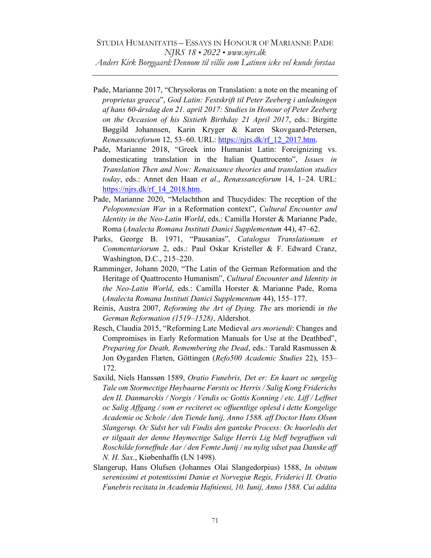- Pade, Marianne 2017, "Chrysoloras on Translation: a note on the meaning of proprietas graeca", God Latin: Festskrift til Peter Zeeberg i anledningen af hans 60-årsdag den 21. april 2017: Studies in Honour of Peter Zeeberg on the Occasion of his Sixtieth Birthday 21 April 2017, eds.: Birgitte Bøggild Johannsen, Karin Kryger & Karen Skovgaard-Petersen, Renæssanceforum 12, 53–60. URL: https://njrs.dk/rf\_12\_2017.htm.
- Pade, Marianne 2018, "Greek into Humanist Latin: Foreignizing vs. domesticating translation in the Italian Quattrocento", Issues in Translation Then and Now: Renaissance theories and translation studies today, eds.: Annet den Haan et al., Renæssanceforum 14, 1-24. URL: https://njrs.dk/rf\_14\_2018.htm.
- Pade, Marianne 2020, "Melachthon and Thucydides: The reception of the Peloponnesian War in a Reformation context", Cultural Encounter and Identity in the Neo-Latin World, eds.: Camilla Horster & Marianne Pade, Roma (Analecta Romana Instituti Danici Supplementum 44), 47–62.
- Parks, George B. 1971, "Pausanias", Catalogus Translationum et Commentariorum 2, eds.: Paul Oskar Kristeller & F. Edward Cranz, Washington, D.C., 215-220.
- Ramminger, Johann 2020, "The Latin of the German Reformation and the Heritage of Quattrocento Humanism", Cultural Encounter and Identity in the Neo-Latin World, eds.: Camilla Horster & Marianne Pade, Roma (Analecta Romana Instituti Danici Supplementum 44), 155-177.
- Reinis, Austra 2007, Reforming the Art of Dying. The ars moriendi in the German Reformation (1519-1528), Aldershot.
- Resch, Claudia 2015, "Reforming Late Medieval ars moriendi: Changes and Compromises in Early Reformation Manuals for Use at the Deathbed", Preparing for Death, Remembering the Dead, eds.: Tarald Rasmussen & Jon Øygarden Flæten, Göttingen (Refo500 Academic Studies 22), 153-172.
- Saxild, Niels Hanssøn 1589, Oratio Funebris, Det er: En kaart oc sørgelig Tale om Stormectige Høybaarne Førstis oc Herris / Salig Kong Friderichs den II. Danmarckis / Norgis / Vendis oc Gottis Konning / etc. Liff / Leffnet oc Salig Affgang / som er reciteret oc offuentlige oplesd i dette Kongelige Academie oc Schole / den Tiende Iunij, Anno 1588. aff Doctor Hans Olsøn Slangerup. Oc Sidst her vdi Findis den gantske Process: Oc huorledis det er tilgaait der denne Høymectige Salige Herris Lig bleff begraffuen vdi Roschilde forneffnde Aar / den Femte Junij / nu nylig vdset paa Danske aff N. H. Sax., Kiøbenhaffn (LN 1498).
- Slangerup, Hans Olufsen (Johannes Olai Slangedorpius) 1588, In obitum serenissimi et potentissimi Daniæ et Norvegiæ Regis, Friderici II. Oratio Funebris recitata in Academia Hafniensi, 10. Iunij, Anno 1588. Cui addita